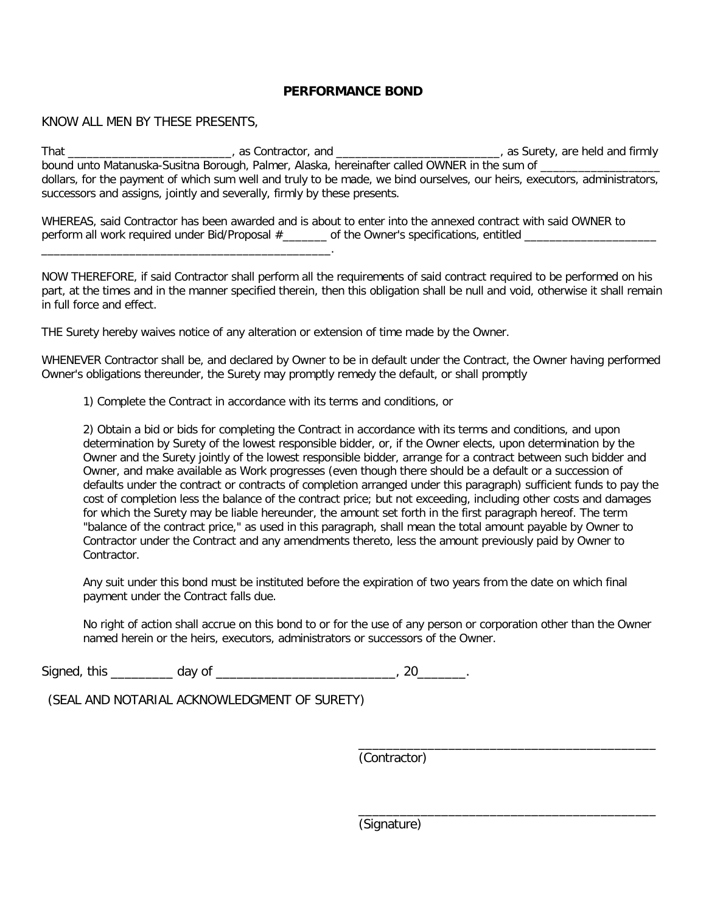## **PERFORMANCE BOND**

## KNOW ALL MEN BY THESE PRESENTS,

\_\_\_\_\_\_\_\_\_\_\_\_\_\_\_\_\_\_\_\_\_\_\_\_\_\_\_\_\_\_\_\_\_\_\_\_\_\_\_\_\_\_\_\_\_\_.

That \_\_\_\_\_\_\_\_\_\_\_\_\_\_\_\_\_\_\_\_\_\_\_\_\_\_\_, as Contractor, and \_\_\_\_\_\_\_\_\_\_\_\_\_\_\_\_\_\_\_\_\_\_\_\_\_\_\_\_, as Surety, are held and firmly bound unto Matanuska-Susitna Borough, Palmer, Alaska, hereinafter called OWNER in the sum of \_\_\_\_\_\_\_\_\_\_\_\_\_\_\_\_\_ dollars, for the payment of which sum well and truly to be made, we bind ourselves, our heirs, executors, administrators, successors and assigns, jointly and severally, firmly by these presents.

WHEREAS, said Contractor has been awarded and is about to enter into the annexed contract with said OWNER to perform all work required under Bid/Proposal #\_\_\_\_\_\_\_ of the Owner's specifications, entitled \_\_\_\_\_\_\_\_\_\_\_\_\_

NOW THEREFORE, if said Contractor shall perform all the requirements of said contract required to be performed on his part, at the times and in the manner specified therein, then this obligation shall be null and void, otherwise it shall remain in full force and effect.

THE Surety hereby waives notice of any alteration or extension of time made by the Owner.

WHENEVER Contractor shall be, and declared by Owner to be in default under the Contract, the Owner having performed Owner's obligations thereunder, the Surety may promptly remedy the default, or shall promptly

1) Complete the Contract in accordance with its terms and conditions, or

2) Obtain a bid or bids for completing the Contract in accordance with its terms and conditions, and upon determination by Surety of the lowest responsible bidder, or, if the Owner elects, upon determination by the Owner and the Surety jointly of the lowest responsible bidder, arrange for a contract between such bidder and Owner, and make available as Work progresses (even though there should be a default or a succession of defaults under the contract or contracts of completion arranged under this paragraph) sufficient funds to pay the cost of completion less the balance of the contract price; but not exceeding, including other costs and damages for which the Surety may be liable hereunder, the amount set forth in the first paragraph hereof. The term "balance of the contract price," as used in this paragraph, shall mean the total amount payable by Owner to Contractor under the Contract and any amendments thereto, less the amount previously paid by Owner to **Contractor** 

Any suit under this bond must be instituted before the expiration of two years from the date on which final payment under the Contract falls due.

No right of action shall accrue on this bond to or for the use of any person or corporation other than the Owner named herein or the heirs, executors, administrators or successors of the Owner.

Signed, this \_\_\_\_\_\_\_\_\_\_\_ day of \_\_\_\_\_\_\_\_\_\_\_\_\_\_\_\_\_\_\_\_\_\_\_\_\_\_\_\_\_\_\_\_, 20\_\_\_\_\_\_\_\_\_.

(SEAL AND NOTARIAL ACKNOWLEDGMENT OF SURETY)

(Contractor)

\_\_\_\_\_\_\_\_\_\_\_\_\_\_\_\_\_\_\_\_\_\_\_\_\_\_\_\_\_\_\_\_\_\_\_\_\_\_\_\_\_\_\_

\_\_\_\_\_\_\_\_\_\_\_\_\_\_\_\_\_\_\_\_\_\_\_\_\_\_\_\_\_\_\_\_\_\_\_\_\_\_\_\_\_\_\_ (Signature)